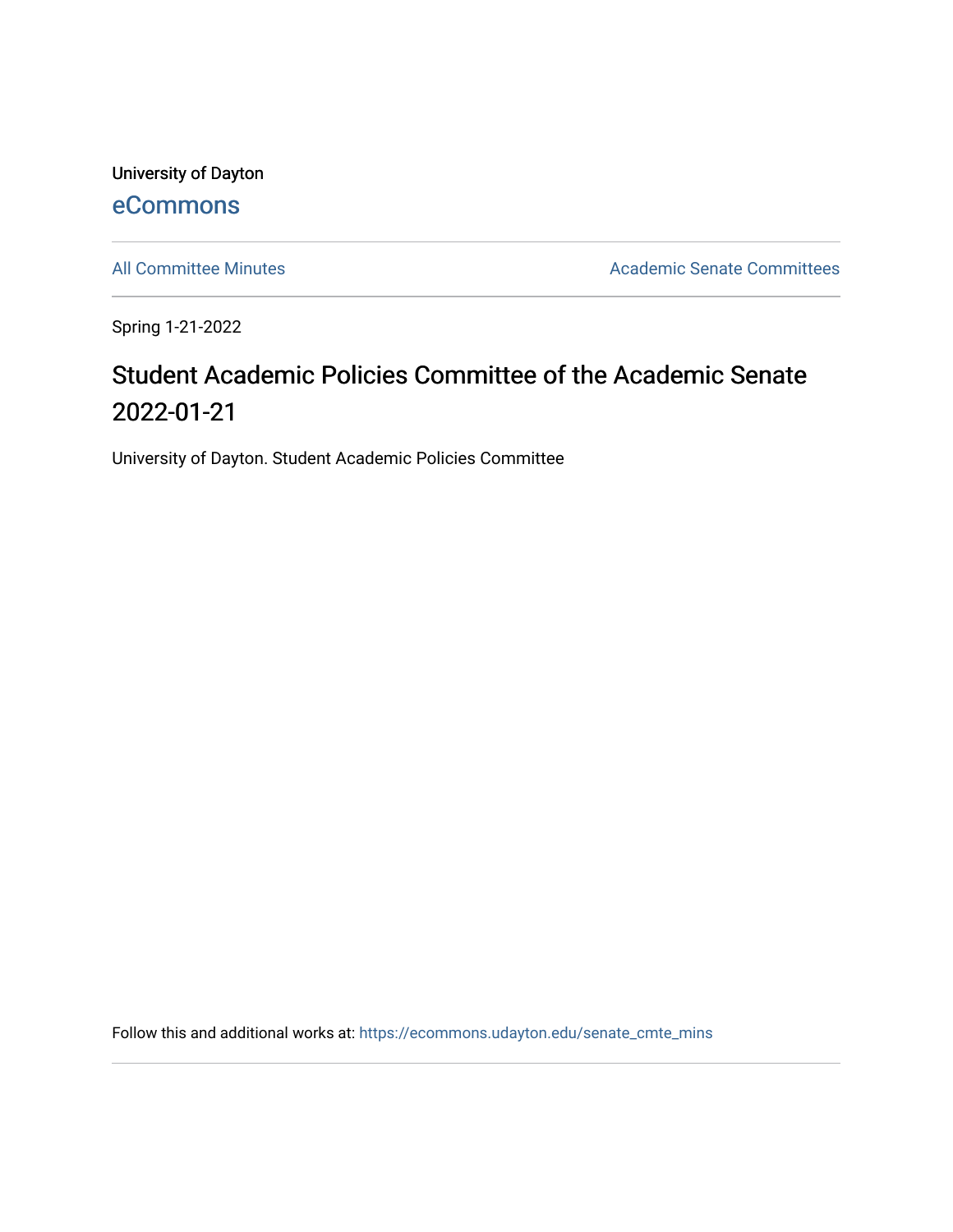University of Dayton [eCommons](https://ecommons.udayton.edu/)

[All Committee Minutes](https://ecommons.udayton.edu/senate_cmte_mins) **Academic Senate Committees** 

Spring 1-21-2022

## Student Academic Policies Committee of the Academic Senate 2022-01-21

University of Dayton. Student Academic Policies Committee

Follow this and additional works at: [https://ecommons.udayton.edu/senate\\_cmte\\_mins](https://ecommons.udayton.edu/senate_cmte_mins?utm_source=ecommons.udayton.edu%2Fsenate_cmte_mins%2F470&utm_medium=PDF&utm_campaign=PDFCoverPages)